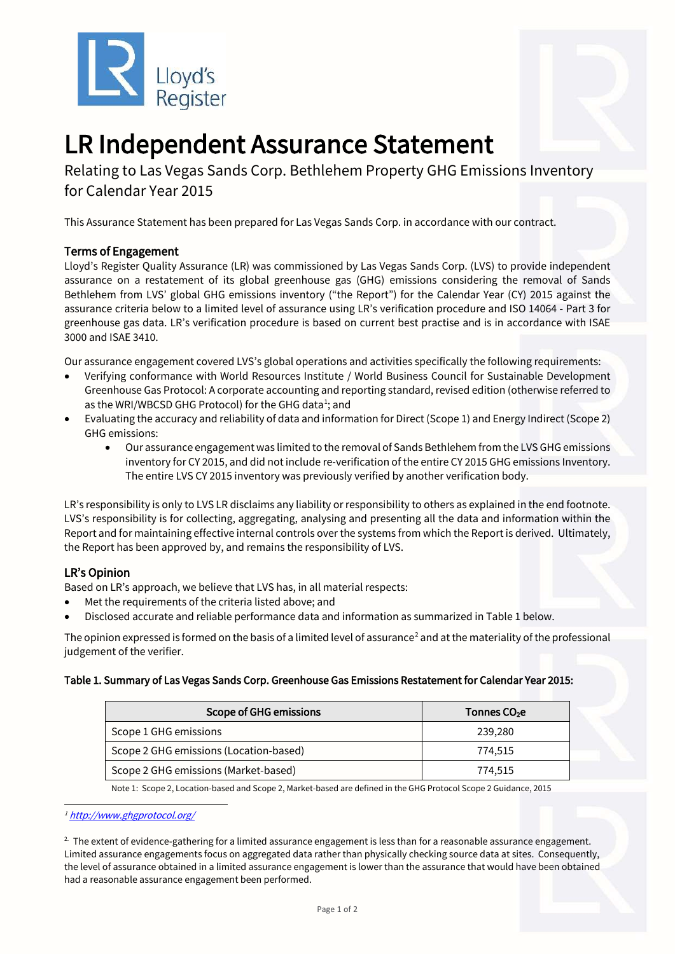



# LR Independent Assurance Statement<br>Relating to Las Vegas Sands Corp. Bethlehem Property GHG Emissions Inventory

for Calendar Year 2015

This Assurance Statement has been prepared for Las Vegas Sands Corp. in accordance with our contract.

## Terms of Engagement

Lloyd's Register Quality Assurance (LR) was commissioned by Las Vegas Sands Corp. (LVS) to provide independent assurance on a restatement of its global greenhouse gas (GHG) emissions considering the removal of Sands Bethlehem from LVS' global GHG emissions inventory ("the Report") for the Calendar Year (CY) 2015 against the assurance criteria below to a limited level of assurance using LR's verification procedure and ISO 14064 - Part 3 for greenhouse gas data. LR's verification procedure is based on current best practise and is in accordance with ISAE 3000 and ISAE 3410.

Our assurance engagement covered LVS's global operations and activities specifically the following requirements:

- Verifying conformance with World Resources Institute / World Business Council for Sustainable Development Greenhouse Gas Protocol: A corporate accounting and reporting standard, revised edition (otherwise referred to as the WRI/WBCSD GHG Protocol) for the GHG data<sup>[1](#page-0-0)</sup>; and
- Evaluating the accuracy and reliability of data and information for Direct (Scope 1) and Energy Indirect (Scope 2) GHG emissions:
	- Our assurance engagement was limited to the removal of Sands Bethlehem from the LVS GHG emissions inventory for CY 2015, and did not include re-verification of the entire CY 2015 GHG emissions Inventory. The entire LVS CY 2015 inventory was previously verified by another verification body.

LR's responsibility is only to LVS LR disclaims any liability or responsibility to others as explained in the end footnote. LVS's responsibility is for collecting, aggregating, analysing and presenting all the data and information within the Report and for maintaining effective internal controls over the systems from which the Report is derived. Ultimately, the Report has been approved by, and remains the responsibility of LVS.

## LR's Opinion

Based on LR's approach, we believe that LVS has, in all material respects:

- Met the requirements of the criteria listed above; and
- Disclosed accurate and reliable performance data and information as summarized in Table 1 below.

The opinion expressed is formed on the basis of a limited level of assurance<sup>[2](#page-0-1)</sup> and at the materiality of the professional judgement of the verifier.

#### Table 1. Summary of Las Vegas Sands Corp. Greenhouse Gas Emissions Restatement for Calendar Year 2015:

| <b>Scope of GHG emissions</b>          | Tonnes CO <sub>2</sub> e |
|----------------------------------------|--------------------------|
| Scope 1 GHG emissions                  | 239,280                  |
| Scope 2 GHG emissions (Location-based) | 774.515                  |
| Scope 2 GHG emissions (Market-based)   | 774.515                  |

Note 1: Scope 2, Location-based and Scope 2, Market-based are defined in the GHG Protocol Scope 2 Guidance, 2015

<span id="page-0-1"></span> $^{2}$  The extent of evidence-gathering for a limited assurance engagement is less than for a reasonable assurance engagement. Limited assurance engagements focus on aggregated data rather than physically checking source data at sites. Consequently, the level of assurance obtained in a limited assurance engagement is lower than the assurance that would have been obtained had a reasonable assurance engagement been performed.

<span id="page-0-0"></span><sup>1</sup> <http://www.ghgprotocol.org/>